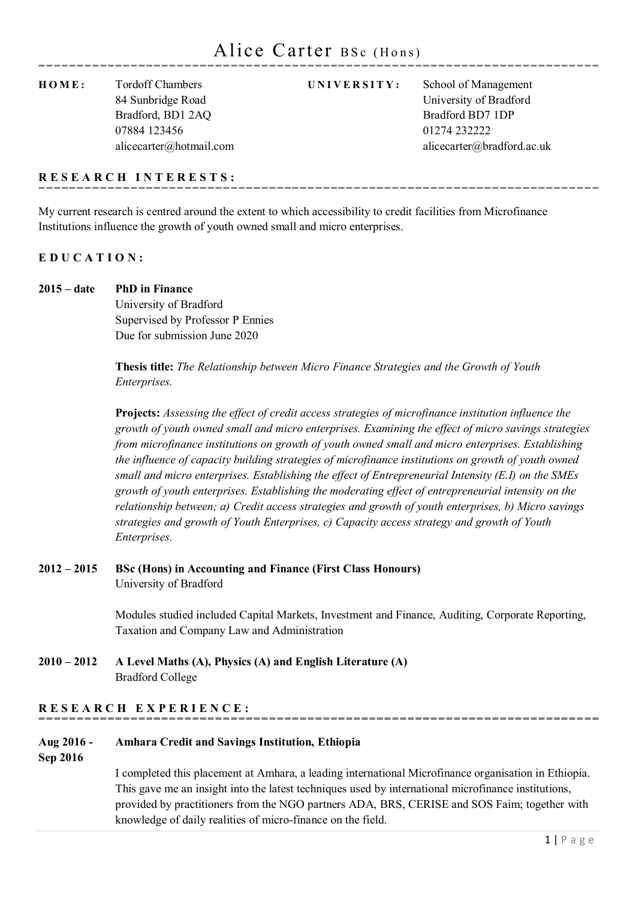**HOME:** Tordoff Chambers **UNIVERSITY:** School of Management Bradford, BD1 2AO Bradford BD7 1DP 07884 123456 01274 232222

84 Sunbridge Road University of Bradford alicecarter@hotmail.com alicecarter@bradford.ac.uk

## **RESEARCH INTERESTS:**

My current research is centred around the extent to which accessibility to credit facilities from Microfinance Institutions influence the growth of youth owned small and micro enterprises.

## **EDUCATION:**

**2015 – date PhD in Finance**

University of Bradford Supervised by Professor P Ennies Due for submission June 2020

**Thesis title:** *The Relationship between Micro Finance Strategies and the Growth of Youth Enterprises.*

**Projects:** *Assessing the effect of credit access strategies of microfinance institution influence the growth of youth owned small and micro enterprises. Examining the effect of micro savings strategies from microfinance institutions on growth of youth owned small and micro enterprises. Establishing the influence of capacity building strategies of microfinance institutions on growth of youth owned small and micro enterprises. Establishing the effect of Entrepreneurial Intensity (E.I) on the SMEs growth of youth enterprises. Establishing the moderating effect of entrepreneurial intensity on the relationship between; a) Credit access strategies and growth of youth enterprises, b) Micro savings strategies and growth of Youth Enterprises, c) Capacity access strategy and growth of Youth Enterprises.*

## **2012 – 2015 BSc (Hons) in Accounting and Finance (First Class Honours)** University of Bradford

Modules studied included Capital Markets, Investment and Finance, Auditing, Corporate Reporting, Taxation and Company Law and Administration

**2010 – 2012 A Level Maths (A), Physics (A) and English Literature (A)** Bradford College

## **RESEARCH EXPERIENCE:**

## **Aug 2016 - Amhara Credit and Savings Institution, Ethiopia**

**Sep 2016**

I completed this placement at Amhara, a leading international Microfinance organisation in Ethiopia. This gave me an insight into the latest techniques used by international microfinance institutions, provided by practitioners from the NGO partners ADA, BRS, CERISE and SOS Faim; together with knowledge of daily realities of micro-finance on the field.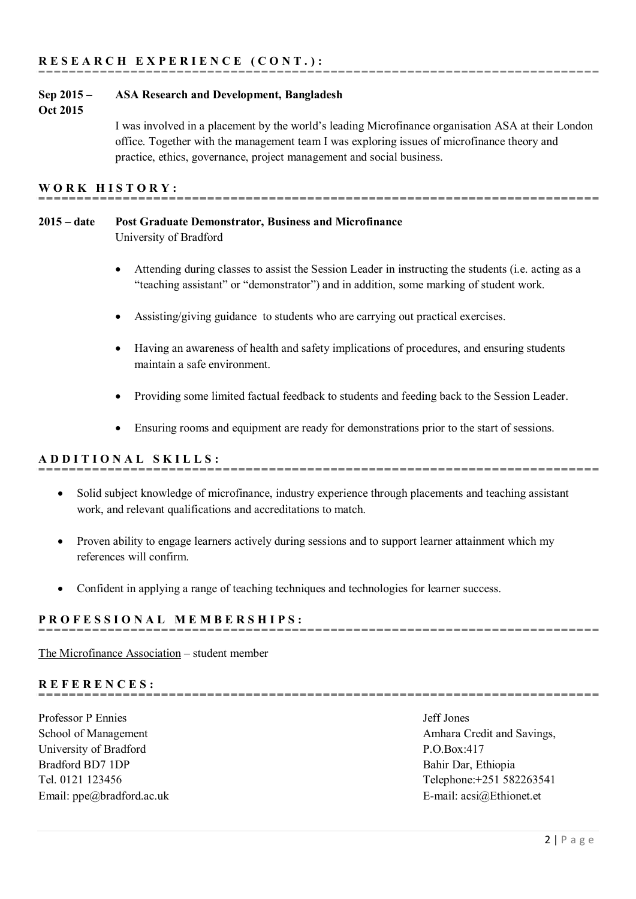## **Sep 2015 – ASA Research and Development, Bangladesh**

#### **Oct 2015**

I was involved in a placement by the world's leading Microfinance organisation ASA at their London office. Together with the management team I was exploring issues of microfinance theory and practice, ethics, governance, project management and social business.

-------------------------------------

## **WORK HISTORY:**

# **2015 – date Post Graduate Demonstrator, Business and Microfinance**

University of Bradford

- Attending during classes to assist the Session Leader in instructing the students (i.e. acting as a "teaching assistant" or "demonstrator") and in addition, some marking of student work.
- Assisting/giving guidance to students who are carrying out practical exercises.
- Having an awareness of health and safety implications of procedures, and ensuring students maintain a safe environment.
- Providing some limited factual feedback to students and feeding back to the Session Leader.

• Ensuring rooms and equipment are ready for demonstrations prior to the start of sessions.

## **ADDITIONAL SKILLS:**

- Solid subject knowledge of microfinance, industry experience through placements and teaching assistant work, and relevant qualifications and accreditations to match.
- Proven ability to engage learners actively during sessions and to support learner attainment which my references will confirm
- Confident in applying a range of teaching techniques and technologies for learner success.

## **PROFESSIONAL MEMBERS HIPS:**

[The Microfinance Association](http://www.microfinanceassociation.org/) – student member

## **REFERENCES:**

Professor P Ennies Jeff Jones University of Bradford P.O.Box:417 Bradford BD7 1DP Bahir Dar, Ethiopia E-mail: ppe@bradford.ac.uk E-mail: acsi@Ethionet.et

School of Management **Amhara Credit and Savings**, Tel. 0121 123456 Telephone:+251 582263541